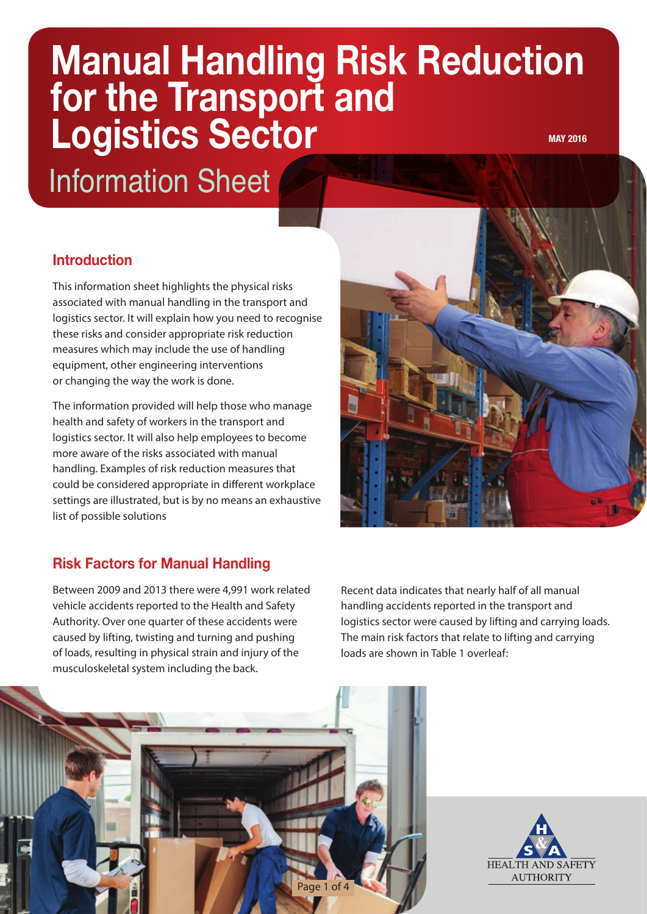# **Manual Handling Risk Reduction for the Transport and Logistics Sector MAY 2016**

Information Sheet

# **Introduction**

This information sheet highlights the physical risks associated with manual handling in the transport and logistics sector. It will explain how you need to recognise these risks and consider appropriate risk reduction measures which may include the use of handling equipment, other engineering interventions or changing the way the work is done.

The information provided will help those who manage health and safety of workers in the transport and logistics sector. It will also help employees to become more aware of the risks associated with manual handling. Examples of risk reduction measures that could be considered appropriate in different workplace settings are illustrated, but is by no means an exhaustive list of possible solutions

# **Risk Factors for Manual Handling**

Between 2009 and 2013 there were 4,991 work related vehicle accidents reported to the Health and Safety Authority. Over one quarter of these accidents were caused by lifting, twisting and turning and pushing of loads, resulting in physical strain and injury of the musculoskeletal system including the back.



Recent data indicates that nearly half of all manual handling accidents reported in the transport and logistics sector were caused by lifting and carrying loads. The main risk factors that relate to lifting and carrying loads are shown in Table 1 overleaf:



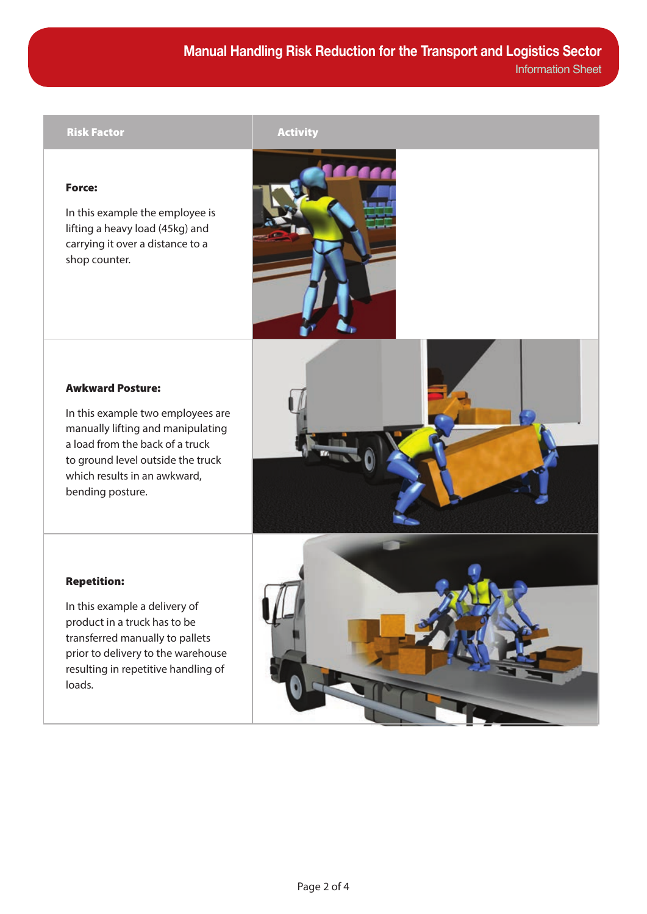#### Risk Factor **Activity**

### Force:

In this example the employee is lifting a heavy load (45kg) and carrying it over a distance to a shop counter.



### Awkward Posture:

In this example two employees are manually lifting and manipulating a load from the back of a truck to ground level outside the truck which results in an awkward, bending posture.



#### Repetition:

In this example a delivery of product in a truck has to be transferred manually to pallets prior to delivery to the warehouse resulting in repetitive handling of loads.

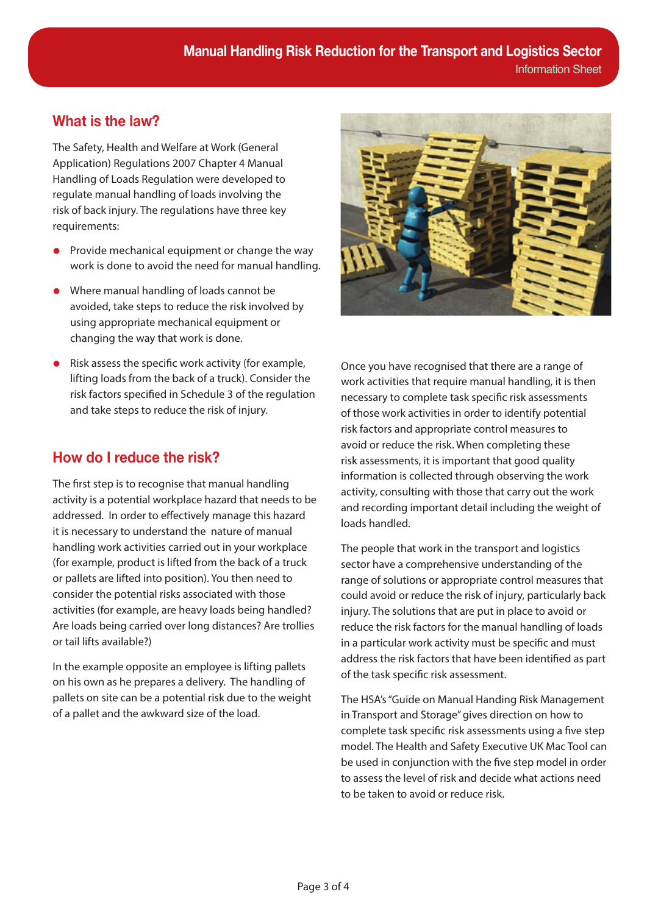# **What is the law?**

The Safety, Health and Welfare at Work (General Application) Regulations 2007 Chapter 4 Manual Handling of Loads Regulation were developed to regulate manual handling of loads involving the risk of back injury. The regulations have three key requirements:

- Provide mechanical equipment or change the way work is done to avoid the need for manual handling.
- Where manual handling of loads cannot be avoided, take steps to reduce the risk involved by using appropriate mechanical equipment or changing the way that work is done.
- Risk assess the specific work activity (for example, lifting loads from the back of a truck). Consider the risk factors specified in Schedule 3 of the regulation and take steps to reduce the risk of injury.

# **How do I reduce the risk?**

The first step is to recognise that manual handling activity is a potential workplace hazard that needs to be addressed. In order to effectively manage this hazard it is necessary to understand the nature of manual handling work activities carried out in your workplace (for example, product is lifted from the back of a truck or pallets are lifted into position). You then need to consider the potential risks associated with those activities (for example, are heavy loads being handled? Are loads being carried over long distances? Are trollies or tail lifts available?)

In the example opposite an employee is lifting pallets on his own as he prepares a delivery. The handling of pallets on site can be a potential risk due to the weight of a pallet and the awkward size of the load.



Once you have recognised that there are a range of work activities that require manual handling, it is then necessary to complete task specific risk assessments of those work activities in order to identify potential risk factors and appropriate control measures to avoid or reduce the risk. When completing these risk assessments, it is important that good quality information is collected through observing the work activity, consulting with those that carry out the work and recording important detail including the weight of loads handled.

The people that work in the transport and logistics sector have a comprehensive understanding of the range of solutions or appropriate control measures that could avoid or reduce the risk of injury, particularly back injury. The solutions that are put in place to avoid or reduce the risk factors for the manual handling of loads in a particular work activity must be specific and must address the risk factors that have been identified as part of the task specific risk assessment.

The HSA's "Guide on Manual Handing Risk Management in Transport and Storage" gives direction on how to complete task specific risk assessments using a five step model. The Health and Safety Executive UK Mac Tool can be used in conjunction with the five step model in order to assess the level of risk and decide what actions need to be taken to avoid or reduce risk.